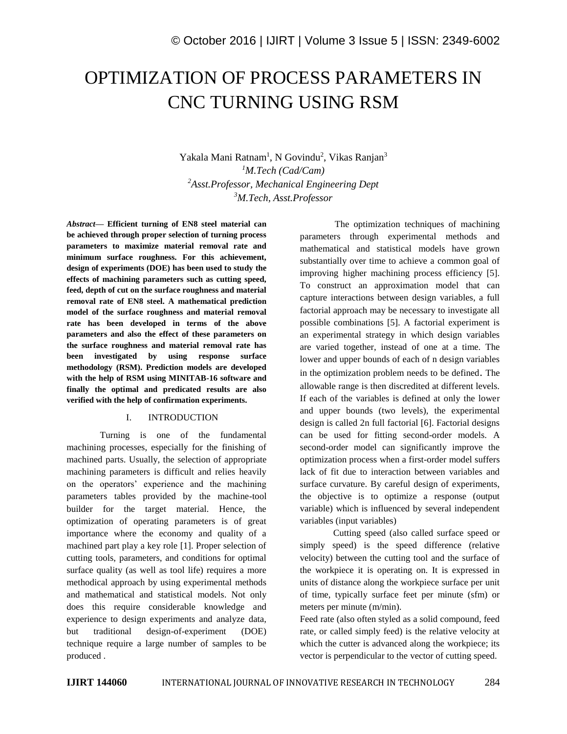# OPTIMIZATION OF PROCESS PARAMETERS IN CNC TURNING USING RSM

Yakala Mani Ratnam<sup>1</sup>, N Govindu<sup>2</sup>, Vikas Ranjan<sup>3</sup> *M.Tech (Cad/Cam) Asst.Professor, Mechanical Engineering Dept M.Tech, Asst.Professor*

*Abstract—* **Efficient turning of EN8 steel material can be achieved through proper selection of turning process parameters to maximize material removal rate and minimum surface roughness. For this achievement, design of experiments (DOE) has been used to study the effects of machining parameters such as cutting speed, feed, depth of cut on the surface roughness and material removal rate of EN8 steel. A mathematical prediction model of the surface roughness and material removal rate has been developed in terms of the above parameters and also the effect of these parameters on the surface roughness and material removal rate has been investigated by using response surface methodology (RSM). Prediction models are developed with the help of RSM using MINITAB-16 software and finally the optimal and predicated results are also verified with the help of confirmation experiments.**

#### I. INTRODUCTION

Turning is one of the fundamental machining processes, especially for the finishing of machined parts. Usually, the selection of appropriate machining parameters is difficult and relies heavily on the operators' experience and the machining parameters tables provided by the machine-tool builder for the target material. Hence, the optimization of operating parameters is of great importance where the economy and quality of a machined part play a key role [1]. Proper selection of cutting tools, parameters, and conditions for optimal surface quality (as well as tool life) requires a more methodical approach by using experimental methods and mathematical and statistical models. Not only does this require considerable knowledge and experience to design experiments and analyze data, but traditional design-of-experiment (DOE) technique require a large number of samples to be produced .

 The optimization techniques of machining parameters through experimental methods and mathematical and statistical models have grown substantially over time to achieve a common goal of improving higher machining process efficiency [5]. To construct an approximation model that can capture interactions between design variables, a full factorial approach may be necessary to investigate all possible combinations [5]. A factorial experiment is an experimental strategy in which design variables are varied together, instead of one at a time. The lower and upper bounds of each of n design variables in the optimization problem needs to be defined. The allowable range is then discredited at different levels. If each of the variables is defined at only the lower and upper bounds (two levels), the experimental design is called 2n full factorial [6]. Factorial designs can be used for fitting second-order models. A second-order model can significantly improve the optimization process when a first-order model suffers lack of fit due to interaction between variables and surface curvature. By careful design of experiments, the objective is to optimize a response (output variable) which is influenced by several independent variables (input variables)

Cutting speed (also called surface speed or simply speed) is the speed difference (relative velocity) between the cutting tool and the surface of the workpiece it is operating on. It is expressed in units of distance along the workpiece surface per unit of time, typically surface feet per minute (sfm) or meters per minute (m/min).

Feed rate (also often styled as a solid compound, feed rate, or called simply feed) is the relative velocity at which the cutter is advanced along the workpiece; its vector is perpendicular to the vector of cutting speed.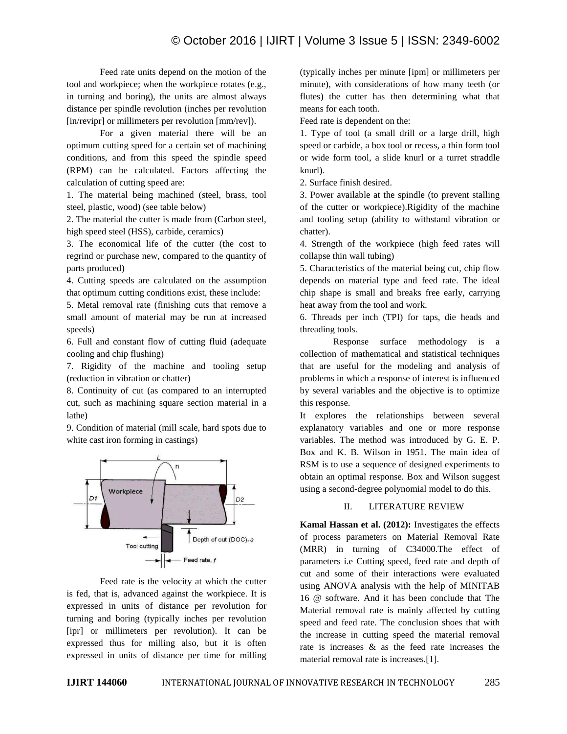Feed rate units depend on the motion of the tool and workpiece; when the workpiece rotates (e.g., in turning and boring), the units are almost always distance per spindle revolution (inches per revolution [in/revipr] or millimeters per revolution [mm/rev]).

For a given material there will be an optimum cutting speed for a certain set of machining conditions, and from this speed the spindle speed (RPM) can be calculated. Factors affecting the calculation of cutting speed are:

1. The material being machined (steel, brass, tool steel, plastic, wood) (see table below)

2. The material the cutter is made from (Carbon steel, high speed steel (HSS), carbide, ceramics)

3. The economical life of the cutter (the cost to regrind or purchase new, compared to the quantity of parts produced)

4. Cutting speeds are calculated on the assumption that optimum cutting conditions exist, these include:

5. Metal removal rate (finishing cuts that remove a small amount of material may be run at increased speeds)

6. Full and constant flow of cutting fluid (adequate cooling and chip flushing)

7. Rigidity of the machine and tooling setup (reduction in vibration or chatter)

8. Continuity of cut (as compared to an interrupted cut, such as machining square section material in a lathe)

9. Condition of material (mill scale, hard spots due to white cast iron forming in castings)



Feed rate is the velocity at which the cutter is fed, that is, advanced against the workpiece. It is expressed in units of distance per revolution for turning and boring (typically inches per revolution [ipr] or millimeters per revolution). It can be expressed thus for milling also, but it is often expressed in units of distance per time for milling (typically inches per minute [ipm] or millimeters per minute), with considerations of how many teeth (or flutes) the cutter has then determining what that means for each tooth.

Feed rate is dependent on the:

1. Type of tool (a small drill or a large drill, high speed or carbide, a box tool or recess, a thin form tool or wide form tool, a slide knurl or a turret straddle knurl).

2. Surface finish desired.

3. Power available at the spindle (to prevent stalling of the cutter or workpiece).Rigidity of the machine and tooling setup (ability to withstand vibration or chatter).

4. Strength of the workpiece (high feed rates will collapse thin wall tubing)

5. Characteristics of the material being cut, chip flow depends on material type and feed rate. The ideal chip shape is small and breaks free early, carrying heat away from the tool and work.

6. Threads per inch (TPI) for taps, die heads and threading tools.

Response surface methodology is a collection of mathematical and statistical techniques that are useful for the modeling and analysis of problems in which a response of interest is influenced by several variables and the objective is to optimize this response.

It explores the relationships between several explanatory variables and one or more response variables. The method was introduced by G. E. P. Box and K. B. Wilson in 1951. The main idea of RSM is to use a sequence of designed experiments to obtain an optimal response. Box and Wilson suggest using a second-degree polynomial model to do this.

## II. LITERATURE REVIEW

**Kamal Hassan et al. (2012):** Investigates the effects of process parameters on Material Removal Rate (MRR) in turning of C34000.The effect of parameters i.e Cutting speed, feed rate and depth of cut and some of their interactions were evaluated using ANOVA analysis with the help of MINITAB 16 @ software. And it has been conclude that The Material removal rate is mainly affected by cutting speed and feed rate. The conclusion shoes that with the increase in cutting speed the material removal rate is increases & as the feed rate increases the material removal rate is increases.[1].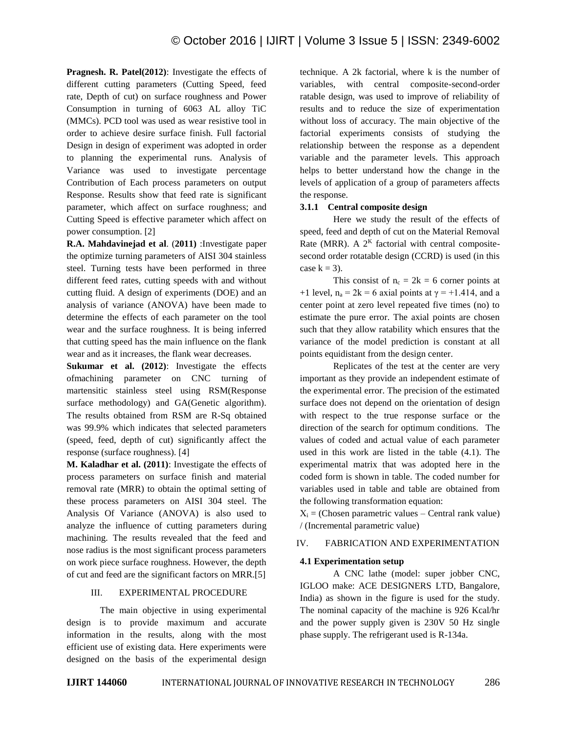**Pragnesh. R. Patel(2012)**: Investigate the effects of different cutting parameters (Cutting Speed, feed rate, Depth of cut) on surface roughness and Power Consumption in turning of 6063 AL alloy TiC (MMCs). PCD tool was used as wear resistive tool in order to achieve desire surface finish. Full factorial Design in design of experiment was adopted in order to planning the experimental runs. Analysis of Variance was used to investigate percentage Contribution of Each process parameters on output Response. Results show that feed rate is significant parameter, which affect on surface roughness; and Cutting Speed is effective parameter which affect on power consumption. [2]

**R.A. Mahdavinejad et al**. (**2011)** :Investigate paper the optimize turning parameters of AISI 304 stainless steel. Turning tests have been performed in three different feed rates, cutting speeds with and without cutting fluid. A design of experiments (DOE) and an analysis of variance (ANOVA) have been made to determine the effects of each parameter on the tool wear and the surface roughness. It is being inferred that cutting speed has the main influence on the flank wear and as it increases, the flank wear decreases.

**Sukumar et al. (2012)**: Investigate the effects ofmachining parameter on CNC turning of martensitic stainless steel using RSM(Response surface methodology) and GA(Genetic algorithm). The results obtained from RSM are R-Sq obtained was 99.9% which indicates that selected parameters (speed, feed, depth of cut) significantly affect the response (surface roughness). [4]

**M. Kaladhar et al. (2011)**: Investigate the effects of process parameters on surface finish and material removal rate (MRR) to obtain the optimal setting of these process parameters on AISI 304 steel. The Analysis Of Variance (ANOVA) is also used to analyze the influence of cutting parameters during machining. The results revealed that the feed and nose radius is the most significant process parameters on work piece surface roughness. However, the depth of cut and feed are the significant factors on MRR.[5]

#### III. EXPERIMENTAL PROCEDURE

The main objective in using experimental design is to provide maximum and accurate information in the results, along with the most efficient use of existing data. Here experiments were designed on the basis of the experimental design technique. A 2k factorial, where k is the number of variables, with central composite-second-order ratable design, was used to improve of reliability of results and to reduce the size of experimentation without loss of accuracy. The main objective of the factorial experiments consists of studying the relationship between the response as a dependent variable and the parameter levels. This approach helps to better understand how the change in the levels of application of a group of parameters affects the response.

## **3.1.1 Central composite design**

Here we study the result of the effects of speed, feed and depth of cut on the Material Removal Rate (MRR). A  $2<sup>K</sup>$  factorial with central compositesecond order rotatable design (CCRD) is used (in this case  $k = 3$ ).

This consist of  $n_c = 2k = 6$  corner points at +1 level,  $n_a = 2k = 6$  axial points at  $\gamma = +1.414$ , and a center point at zero level repeated five times (no) to estimate the pure error. The axial points are chosen such that they allow ratability which ensures that the variance of the model prediction is constant at all points equidistant from the design center.

Replicates of the test at the center are very important as they provide an independent estimate of the experimental error. The precision of the estimated surface does not depend on the orientation of design with respect to the true response surface or the direction of the search for optimum conditions. The values of coded and actual value of each parameter used in this work are listed in the table (4.1). The experimental matrix that was adopted here in the coded form is shown in table. The coded number for variables used in table and table are obtained from the following transformation equation:

 $X_i$  = (Chosen parametric values – Central rank value) / (Incremental parametric value)

## IV. FABRICATION AND EXPERIMENTATION

## **4.1 Experimentation setup**

A CNC lathe (model: super jobber CNC, IGLOO make: ACE DESIGNERS LTD, Bangalore, India) as shown in the figure is used for the study. The nominal capacity of the machine is 926 Kcal/hr and the power supply given is 230V 50 Hz single phase supply. The refrigerant used is R-134a.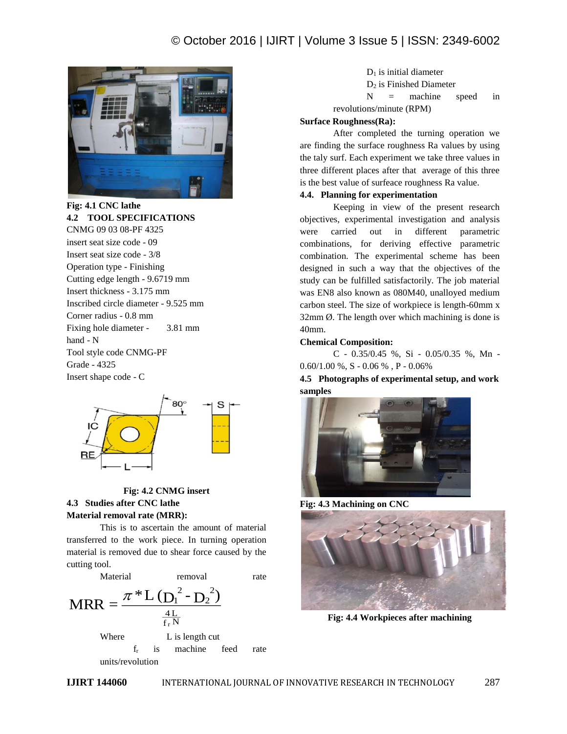## © October 2016 | IJIRT | Volume 3 Issue 5 | ISSN: 2349-6002



**Fig: 4.1 CNC lathe 4.2 TOOL SPECIFICATIONS** CNMG 09 03 08-PF 4325 insert seat size code - 09 Insert seat size code - 3/8 Operation type - Finishing Cutting edge length - 9.6719 mm Insert thickness - 3.175 mm Inscribed circle diameter - 9.525 mm Corner radius - 0.8 mm Fixing hole diameter - 3.81 mm hand - N Tool style code CNMG-PF Grade - 4325 Insert shape code - C



## **Fig: 4.2 CNMG insert 4.3 Studies after CNC lathe Material removal rate (MRR):**

This is to ascertain the amount of material transferred to the work piece. In turning operation material is removed due to shear force caused by the cutting tool.



 $D_1$  is initial diameter D<sup>2</sup> is Finished Diameter  $N =$  machine speed in revolutions/minute (RPM)

## **Surface Roughness(Ra):**

After completed the turning operation we are finding the surface roughness Ra values by using the taly surf. Each experiment we take three values in three different places after that average of this three is the best value of surfeace roughness Ra value.

#### **4.4. Planning for experimentation**

Keeping in view of the present research objectives, experimental investigation and analysis were carried out in different parametric combinations, for deriving effective parametric combination. The experimental scheme has been designed in such a way that the objectives of the study can be fulfilled satisfactorily. The job material was EN8 also known as 080M40, unalloyed medium carbon steel. The size of workpiece is length-60mm x  $32 \text{mm}$   $\varnothing$ . The length over which machining is done is 40mm.

## **Chemical Composition:**

C - 0.35/0.45 %, Si - 0.05/0.35 %, Mn -  $0.60/1.00\%$ , S -  $0.06\%$ , P -  $0.06\%$ 

**4.5 Photographs of experimental setup, and work samples**



**Fig: 4.3 Machining on CNC**



**Fig: 4.4 Workpieces after machining**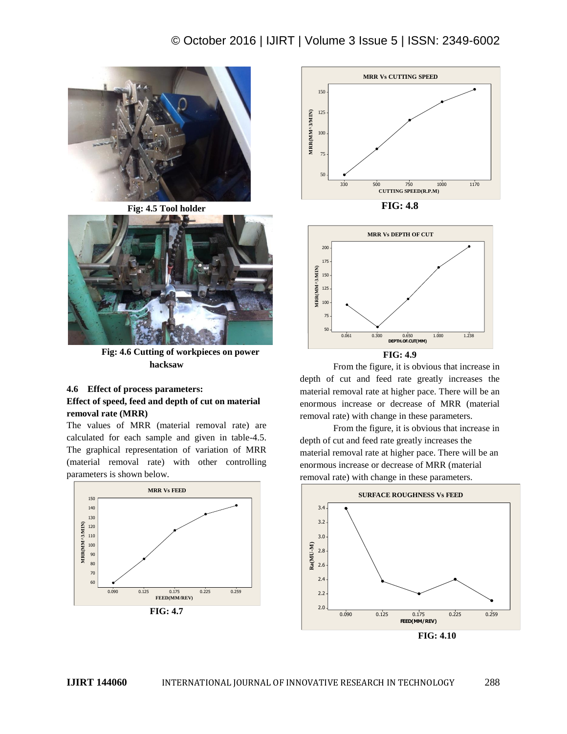

**Fig: 4.5 Tool holder**



 **Fig: 4.6 Cutting of workpieces on power hacksaw**

## **4.6 Effect of process parameters: Effect of speed, feed and depth of cut on material removal rate (MRR)**

The values of MRR (material removal rate) are calculated for each sample and given in table-4.5. The graphical representation of variation of MRR (material removal rate) with other controlling parameters is shown below.









From the figure, it is obvious that increase in depth of cut and feed rate greatly increases the material removal rate at higher pace. There will be an enormous increase or decrease of MRR (material removal rate) with change in these parameters.

From the figure, it is obvious that increase in depth of cut and feed rate greatly increases the material removal rate at higher pace. There will be an enormous increase or decrease of MRR (material removal rate) with change in these parameters.



 **FIG: 4.10**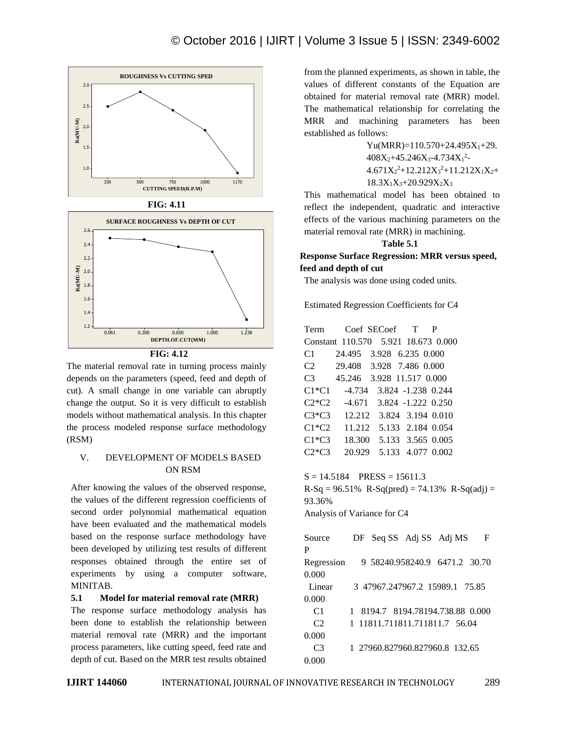

 **FIG: 4.11**



**FIG: 4.12**

The material removal rate in turning process mainly depends on the parameters (speed, feed and depth of cut). A small change in one variable can abruptly change the output. So it is very difficult to establish models without mathematical analysis. In this chapter the process modeled response surface methodology (RSM)

## V. DEVELOPMENT OF MODELS BASED ON RSM

After knowing the values of the observed response, the values of the different regression coefficients of second order polynomial mathematical equation have been evaluated and the mathematical models based on the response surface methodology have been developed by utilizing test results of different responses obtained through the entire set of experiments by using a computer software, MINITAB.

## **5.1 Model for material removal rate (MRR)**

The response surface methodology analysis has been done to establish the relationship between material removal rate (MRR) and the important process parameters, like cutting speed, feed rate and depth of cut. Based on the MRR test results obtained

from the planned experiments, as shown in table, the values of different constants of the Equation are obtained for material removal rate (MRR) model. The mathematical relationship for correlating the MRR and machining parameters has been established as follows:

> $Yu(MRR)=110.570+24.495X_1+29.$  $408X_2+45.246X_3-4.734X_1^2$ - $4.671X_2^2+12.212X_3^2+11.212X_1X_2+$  $18.3X_1X_3+20.929X_2X_3$

This mathematical model has been obtained to reflect the independent, quadratic and interactive effects of the various machining parameters on the material removal rate (MRR) in machining.

#### **Table 5.1**

**Response Surface Regression: MRR versus speed, feed and depth of cut**

The analysis was done using coded units.

Estimated Regression Coefficients for C4

| Term           | Coef SECoef T P                                         |
|----------------|---------------------------------------------------------|
|                | Constant 110.570 5.921 18.673 0.000                     |
|                | $C1$ 24.495 3.928 6.235 0.000                           |
|                | C2 29.408 3.928 7.486 0.000                             |
|                | C3 45.246 3.928 11.517 0.000                            |
|                | C1*C1 -4.734 3.824 -1.238 0.244                         |
|                | $C2*C2$ -4.671 3.824 -1.222 0.250                       |
|                | C3*C3 12.212 3.824 3.194 0.010                          |
|                | $C1*C2$ 11.212 5.133 2.184 0.054                        |
|                | C1*C3 18.300 5.133 3.565 0.005                          |
|                | C <sub>2</sub> *C <sub>3</sub> 20.929 5.133 4.077 0.002 |
|                |                                                         |
|                | $S = 14.5184$ PRESS = 15611.3                           |
|                | $R-Sq = 96.51\%$ R-Sq(pred) = 74.13% R-Sq(adj) =        |
| 93.36%         |                                                         |
|                | Analysis of Variance for C4                             |
|                |                                                         |
| Source         | DF Seq SS Adj SS Adj MS F                               |
| P              |                                                         |
|                | Regression 9 58240.958240.9 6471.2 30.70                |
| 0.000          |                                                         |
| Linear         | 3 47967.247967.2 15989.1 75.85                          |
| 0.000          |                                                         |
| C1             | 1 8194.7 8194.78194.738.88 0.000                        |
| C2             | 1 11811.711811.711811.7 56.04                           |
| 0.000          |                                                         |
| C <sub>3</sub> | 1 27960.827960.827960.8 132.65                          |
| 0.000          |                                                         |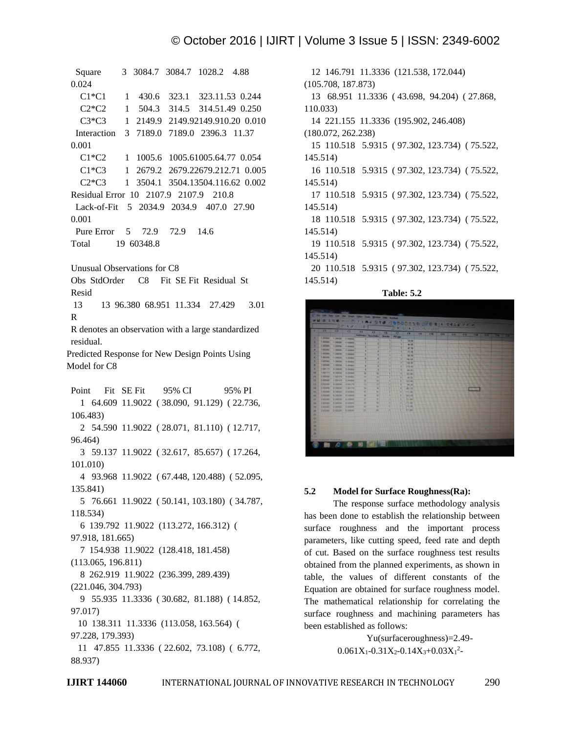```
 Square 3 3084.7 3084.7 1028.2 4.88 
0.024
    C1*C1 1 430.6 323.1 323.11.53 0.244
    C2*C2 1 504.3 314.5 314.51.49 0.250
   C3*C3 1 2149.9 2149.92149.910.20 0.010
   Interaction 3 7189.0 7189.0 2396.3 11.37 
0.001
   C1*C2 1 1005.6 1005.61005.64.77 0.054
   C1*C3 1 2679.2 2679.22679.212.71 0.005
    C2*C3 1 3504.1 3504.13504.116.62 0.002
Residual Error 10 2107.9 2107.9 210.8
  Lack-of-Fit 5 2034.9 2034.9 407.0 27.90 
0.001
  Pure Error 5 72.9 72.9 14.6
Total 19 60348.8
Unusual Observations for C8
Obs StdOrder C8 Fit SE Fit Residual St 
Resid
 13 13 96.380 68.951 11.334 27.429 3.01 
R
R denotes an observation with a large standardized 
residual.
Predicted Response for New Design Points Using 
Model for C8
Point Fit SE Fit 95% CI 95% PI
    1 64.609 11.9022 ( 38.090, 91.129) ( 22.736, 
106.483)
    2 54.590 11.9022 ( 28.071, 81.110) ( 12.717, 
96.464)
    3 59.137 11.9022 ( 32.617, 85.657) ( 17.264, 
101.010)
    4 93.968 11.9022 ( 67.448, 120.488) ( 52.095, 
135.841)
    5 76.661 11.9022 ( 50.141, 103.180) ( 34.787, 
118.534)
    6 139.792 11.9022 (113.272, 166.312) ( 
97.918, 181.665)
    7 154.938 11.9022 (128.418, 181.458) 
(113.065, 196.811)
    8 262.919 11.9022 (236.399, 289.439) 
(221.046, 304.793)
    9 55.935 11.3336 ( 30.682, 81.188) ( 14.852, 
97.017)
   10 138.311 11.3336 (113.058, 163.564) ( 
97.228, 179.393)
   11 47.855 11.3336 ( 22.602, 73.108) ( 6.772, 
88.937)
```
 12 146.791 11.3336 (121.538, 172.044) (105.708, 187.873) 13 68.951 11.3336 ( 43.698, 94.204) ( 27.868, 110.033) 14 221.155 11.3336 (195.902, 246.408) (180.072, 262.238) 15 110.518 5.9315 ( 97.302, 123.734) ( 75.522, 145.514) 16 110.518 5.9315 ( 97.302, 123.734) ( 75.522, 145.514) 17 110.518 5.9315 ( 97.302, 123.734) ( 75.522, 145.514) 18 110.518 5.9315 ( 97.302, 123.734) ( 75.522, 145.514) 19 110.518 5.9315 ( 97.302, 123.734) ( 75.522, 145.514) 20 110.518 5.9315 ( 97.302, 123.734) ( 75.522, 145.514)





#### **5.2 Model for Surface Roughness(Ra):**

The response surface methodology analysis has been done to establish the relationship between surface roughness and the important process parameters, like cutting speed, feed rate and depth of cut. Based on the surface roughness test results obtained from the planned experiments, as shown in table, the values of different constants of the Equation are obtained for surface roughness model. The mathematical relationship for correlating the surface roughness and machining parameters has been established as follows:

> Yu(surfaceroughness)=2.49-  $0.061X_1 - 0.31X_2 - 0.14X_3 + 0.03X_1^2$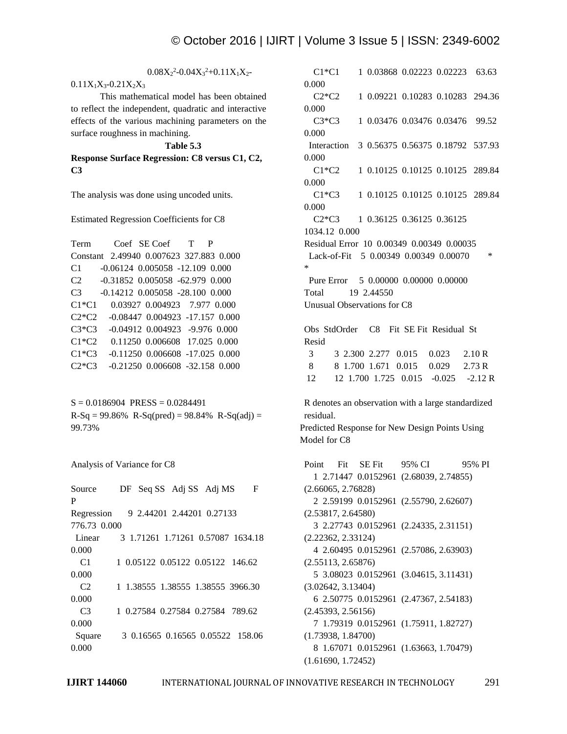## $0.08X_2^2 - 0.04X_3^2 + 0.11X_1X_2$

 $0.11X_1X_3 - 0.21X_2X_3$ 

This mathematical model has been obtained to reflect the independent, quadratic and interactive effects of the various machining parameters on the surface roughness in machining.

#### **Table 5.3**

**Response Surface Regression: C8 versus C1, C2, C3** 

The analysis was done using uncoded units.

Estimated Regression Coefficients for C8

| Term Coef SE Coef T                     |                                         |  |  |  |  |
|-----------------------------------------|-----------------------------------------|--|--|--|--|
| Constant 2.49940 0.007623 327.883 0.000 |                                         |  |  |  |  |
| C1                                      | $-0.06124$ $0.005058$ $-12.109$ $0.000$ |  |  |  |  |
| C2                                      | -0.31852 0.005058 -62.979 0.000         |  |  |  |  |
| C <sub>3</sub>                          | $-0.14212$ $0.005058$ $-28.100$ $0.000$ |  |  |  |  |
| $C1*C1$                                 | 0.03927 0.004923 7.977 0.000            |  |  |  |  |
| $C2*C2$                                 | $-0.08447$ $0.004923$ $-17.157$ $0.000$ |  |  |  |  |
| $C3*C3$                                 | $-0.04912$ $0.004923$ $-9.976$ $0.000$  |  |  |  |  |
| $C1*C2$                                 | 0.11250 0.006608 17.025 0.000           |  |  |  |  |
| $C1*C3$                                 | $-0.11250$ $0.006608$ $-17.025$ $0.000$ |  |  |  |  |
| $C2*C3$                                 | $-0.21250$ $0.006608$ $-32.158$ $0.000$ |  |  |  |  |

 $S = 0.0186904$  PRESS = 0.0284491  $R-Sq = 99.86\% R-Sq(pred) = 98.84\% R-Sq(adj) =$ 99.73%

Analysis of Variance for C8

| Source         | DF Seq SS Adj SS Adj MS   |  |  | F                                 |
|----------------|---------------------------|--|--|-----------------------------------|
| P              |                           |  |  |                                   |
| Regression     | 9 2.44201 2.44201 0.27133 |  |  |                                   |
| 776.73 0.000   |                           |  |  |                                   |
| Linear         |                           |  |  | 3 1.71261 1.71261 0.57087 1634.18 |
| 0.000          |                           |  |  |                                   |
| C <sub>1</sub> |                           |  |  | 1 0.05122 0.05122 0.05122 146.62  |
| 0.000          |                           |  |  |                                   |
| C <sub>2</sub> |                           |  |  | 1 1.38555 1.38555 1.38555 3966.30 |
| 0.000          |                           |  |  |                                   |
| C <sub>3</sub> |                           |  |  | 1 0.27584 0.27584 0.27584 789.62  |
| 0.000          |                           |  |  |                                   |
| Square         |                           |  |  | 3 0.16565 0.16565 0.05522 158.06  |
| 0.000          |                           |  |  |                                   |

 C1\*C1 1 0.03868 0.02223 0.02223 63.63 0.000 C2\*C2 1 0.09221 0.10283 0.10283 294.36 0.000 C3\*C3 1 0.03476 0.03476 0.03476 99.52 0.000 Interaction 3 0.56375 0.56375 0.18792 537.93 0.000 C1\*C2 1 0.10125 0.10125 0.10125 289.84 0.000 C1\*C3 1 0.10125 0.10125 0.10125 289.84 0.000 C2\*C3 1 0.36125 0.36125 0.36125 1034.12 0.000 Residual Error 10 0.00349 0.00349 0.00035 Lack-of-Fit 5 0.00349 0.00349 0.00070 \* \* Pure Error 5 0.00000 0.00000 0.00000 Total 19 2.44550 Unusual Observations for C8 Obs StdOrder C8 Fit SE Fit Residual St Resid 3 3 2.300 2.277 0.015 0.023 2.10 R 8 8 1.700 1.671 0.015 0.029 2.73 R 12 12 1.700 1.725 0.015 -0.025 -2.12 R R denotes an observation with a large standardized residual.

Predicted Response for New Design Points Using Model for C8

Point Fit SE Fit 95% CI 95% PI 1 2.71447 0.0152961 (2.68039, 2.74855) (2.66065, 2.76828) 2 2.59199 0.0152961 (2.55790, 2.62607) (2.53817, 2.64580) 3 2.27743 0.0152961 (2.24335, 2.31151) (2.22362, 2.33124) 4 2.60495 0.0152961 (2.57086, 2.63903) (2.55113, 2.65876) 5 3.08023 0.0152961 (3.04615, 3.11431) (3.02642, 3.13404) 6 2.50775 0.0152961 (2.47367, 2.54183) (2.45393, 2.56156) 7 1.79319 0.0152961 (1.75911, 1.82727) (1.73938, 1.84700) 8 1.67071 0.0152961 (1.63663, 1.70479) (1.61690, 1.72452)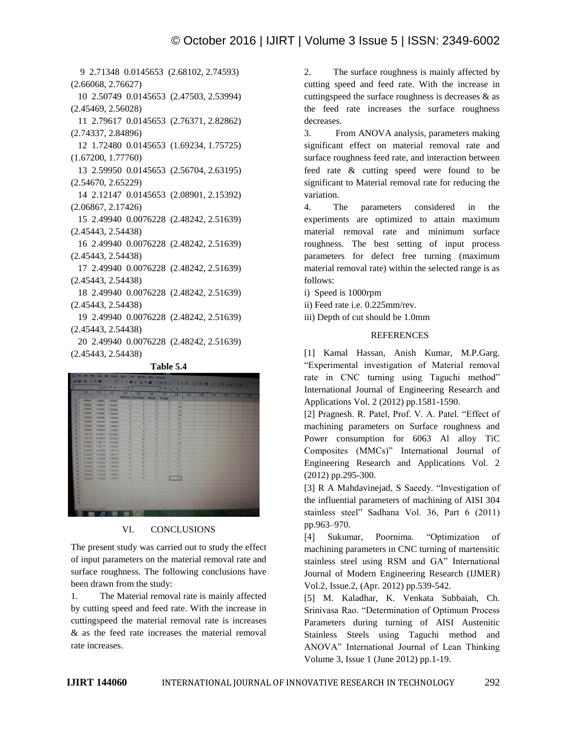9 2.71348 0.0145653 (2.68102, 2.74593) (2.66068, 2.76627) 10 2.50749 0.0145653 (2.47503, 2.53994) (2.45469, 2.56028) 11 2.79617 0.0145653 (2.76371, 2.82862) (2.74337, 2.84896) 12 1.72480 0.0145653 (1.69234, 1.75725) (1.67200, 1.77760) 13 2.59950 0.0145653 (2.56704, 2.63195) (2.54670, 2.65229) 14 2.12147 0.0145653 (2.08901, 2.15392) (2.06867, 2.17426) 15 2.49940 0.0076228 (2.48242, 2.51639) (2.45443, 2.54438) 16 2.49940 0.0076228 (2.48242, 2.51639) (2.45443, 2.54438) 17 2.49940 0.0076228 (2.48242, 2.51639) (2.45443, 2.54438) 18 2.49940 0.0076228 (2.48242, 2.51639) (2.45443, 2.54438) 19 2.49940 0.0076228 (2.48242, 2.51639) (2.45443, 2.54438) 20 2.49940 0.0076228 (2.48242, 2.51639) (2.45443, 2.54438)

#### **Table 5.4**

#### VI. CONCLUSIONS

The present study was carried out to study the effect of input parameters on the material removal rate and surface roughness. The following conclusions have been drawn from the study:

1. The Material removal rate is mainly affected by cutting speed and feed rate. With the increase in cuttingspeed the material removal rate is increases & as the feed rate increases the material removal rate increases.

2. The surface roughness is mainly affected by cutting speed and feed rate. With the increase in cuttingspeed the surface roughness is decreases & as the feed rate increases the surface roughness decreases.

3. From ANOVA analysis, parameters making significant effect on material removal rate and surface roughness feed rate, and interaction between feed rate & cutting speed were found to be significant to Material removal rate for reducing the variation.

4. The parameters considered in the experiments are optimized to attain maximum material removal rate and minimum surface roughness. The best setting of input process parameters for defect free turning (maximum material removal rate) within the selected range is as follows:

- i) Speed is 1000rpm
- ii) Feed rate i.e. 0.225mm/rev.
- iii) Depth of cut should be 1.0mm

#### **REFERENCES**

[1] Kamal Hassan, Anish Kumar, M.P.Garg. "Experimental investigation of Material removal rate in CNC turning using Taguchi method" International Journal of Engineering Research and Applications Vol. 2 (2012) pp.1581-1590.

[2] Pragnesh. R. Patel, Prof. V. A. Patel. "Effect of machining parameters on Surface roughness and Power consumption for 6063 Al alloy TiC Composites (MMCs)" International Journal of Engineering Research and Applications Vol. 2 (2012) pp.295-300.

[3] R A Mahdavinejad, S Saeedy. "Investigation of the influential parameters of machining of AISI 304 stainless steel" Sadhana Vol. 36, Part 6 (2011) pp.963–970.

[4] Sukumar, Poornima. "Optimization of machining parameters in CNC turning of martensitic stainless steel using RSM and GA" International Journal of Modern Engineering Research (IJMER) Vol.2, Issue.2, (Apr. 2012) pp.539-542.

[5] M. Kaladhar, K. Venkata Subbaiah, Ch. Srinivasa Rao. "Determination of Optimum Process Parameters during turning of AISI Austenitic Stainless Steels using Taguchi method and ANOVA" International Journal of Lean Thinking Volume 3, Issue 1 (June 2012) pp.1-19.